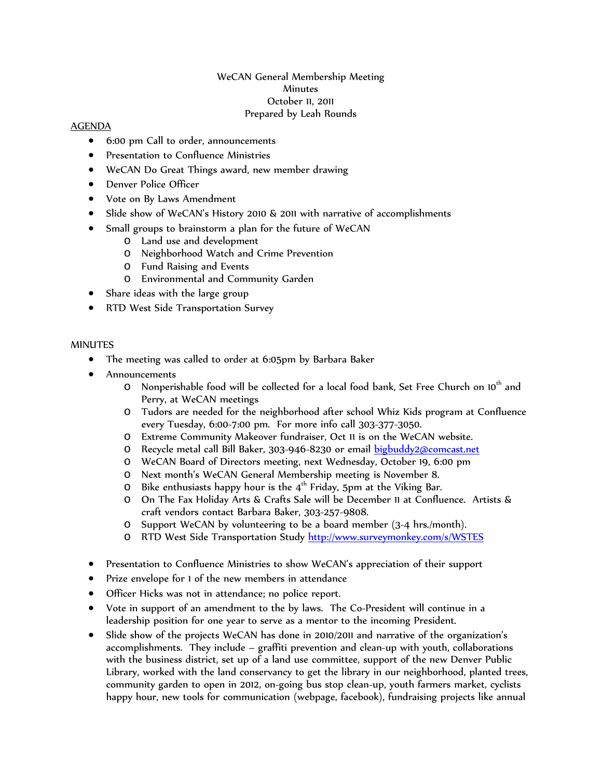## WeCAN General Membership Meeting **Minutes** October 11, 2011 Prepared by Leah Rounds

## AGENDA

- 6:00 pm Call to order, announcements
- Presentation to Confluence Ministries
- WeCAN Do Great Things award, new member drawing
- Denver Police Officer
- Vote on By Laws Amendment
- Slide show of WeCAN's History 2010 & 2011 with narrative of accomplishments
- Small groups to brainstorm a plan for the future of WeCAN
	- o Land use and development
	- o Neighborhood Watch and Crime Prevention
	- o Fund Raising and Events
	- o Environmental and Community Garden
- Share ideas with the large group
- RTD West Side Transportation Survey

## MINUTES

- The meeting was called to order at 6:05pm by Barbara Baker
- Announcements
	- $\circ$  Nonperishable food will be collected for a local food bank, Set Free Church on 10<sup>th</sup> and Perry, at WeCAN meetings
	- o Tudors are needed for the neighborhood after school Whiz Kids program at Confluence every Tuesday, 6:00-7:00 pm. For more info call 303-377-3050.
	- o Extreme Community Makeover fundraiser, Oct 11 is on the WeCAN website.
	- O Recycle metal call Bill Baker, 303-946-8230 or email [bigbuddy2@comcast.net](mailto:bigbuddy2@comcast.net)
	- o WeCAN Board of Directors meeting, next Wednesday, October 19, 6:00 pm
	- o Next month's WeCAN General Membership meeting is November 8.
	- $\circ$  Bike enthusiasts happy hour is the 4<sup>th</sup> Friday, 5pm at the Viking Bar.
	- o On The Fax Holiday Arts & Crafts Sale will be December 11 at Confluence. Artists & craft vendors contact Barbara Baker, 303-257-9808.
	- o Support WeCAN by volunteering to be a board member (3-4 hrs./month).
	- o RTD West Side Transportation Study<http://www.surveymonkey.com/s/WSTES>
- Presentation to Confluence Ministries to show WeCAN's appreciation of their support
- Prize envelope for 1 of the new members in attendance
- Officer Hicks was not in attendance; no police report.
- Vote in support of an amendment to the by laws. The Co-President will continue in a leadership position for one year to serve as a mentor to the incoming President.
- Slide show of the projects WeCAN has done in 2010/2011 and narrative of the organization's accomplishments. They include – graffiti prevention and clean-up with youth, collaborations with the business district, set up of a land use committee, support of the new Denver Public Library, worked with the land conservancy to get the library in our neighborhood, planted trees, community garden to open in 2012, on-going bus stop clean-up, youth farmers market, cyclists happy hour, new tools for communication (webpage, facebook), fundraising projects like annual